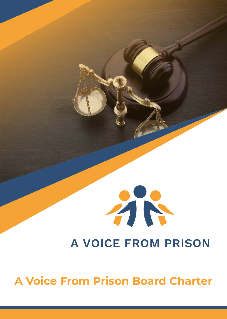

# A VOICE FROM PRISON

**A Voice From Prison Board Charter**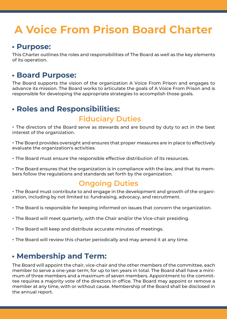## **A Voice From Prison Board Charter**

#### **• Purpose:**

This Charter outlines the roles and responsibilities of The Board as well as the key elements of its operation.

#### **• Board Purpose:**

The Board supports the vision of the organization A Voice From Prison and engages to advance its mission. The Board works to articulate the goals of A Voice From Prison and is responsible for developing the appropriate strategies to accomplish those goals.

## **• Roles and Responsibilities:**

### **Fiduciary Duties**

• The directors of the Board serve as stewards and are bound by duty to act in the best interest of the organization.

• The Board provides oversight and ensures that proper measures are in place to effectively evaluate the organization's activities.

• The Board must ensure the responsible effective distribution of its resources.

• The Board ensures that the organization is in compliance with the law, and that its members follow the regulations and standards set forth by the organization.

## **Ongoing Duties**

• The Board must contribute to and engage in the development and growth of the organization, including by not limited to: fundraising, advocacy, and recruitment.

- The Board is responsible for keeping informed on issues that concern the organization.
- The Board will meet quarterly, with the Chair and/or the Vice-chair presiding.
- The Board will keep and distribute accurate minutes of meetings.
- The Board will review this charter periodically and may amend it at any time.

#### **• Membership and Term:**

The Board will appoint the chair, vice-chair and the other members of the committee, each member to serve a one-year term, for up to ten years in total. The Board shall have a minimum of three members and a maximum of seven members. Appointment to the committee requires a majority vote of the directors in office. The Board may appoint or remove a member at any time, with or without cause. Membership of the Board shall be disclosed in the annual report.